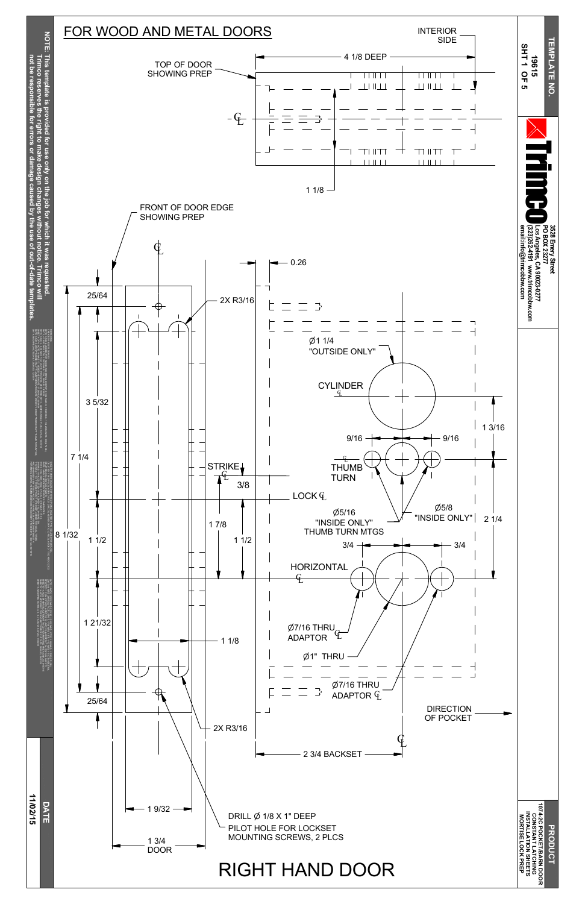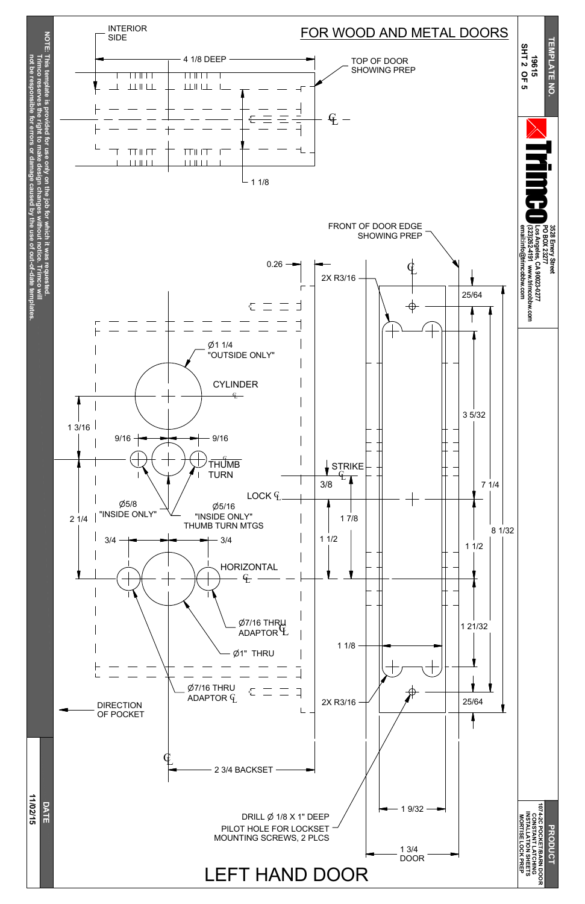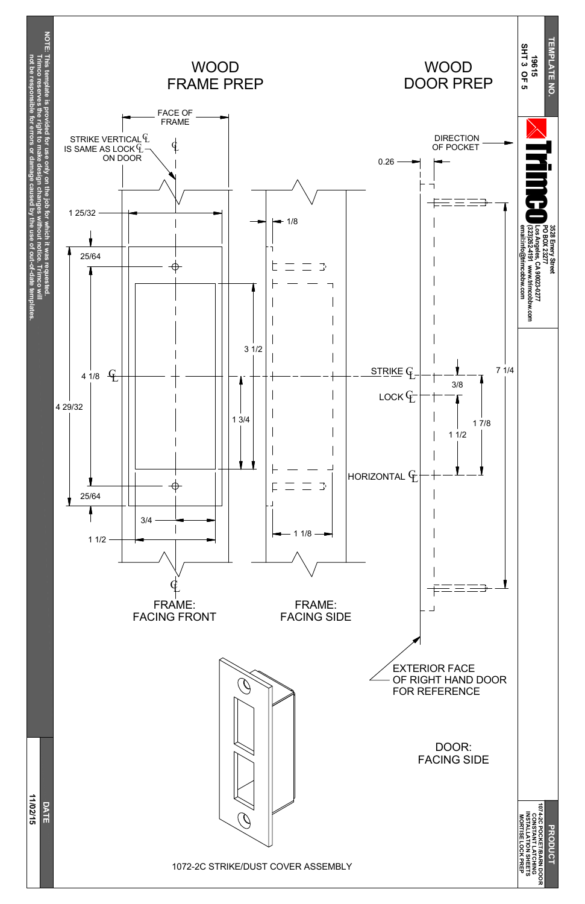



EXTERIOR FACE OF RIGHT HAND DOOR  $\mathcal{O}$ FOR REFERENCE DOOR: FACING SIDE

## 1072-2C STRIKE/DUST COVER ASSEMBLY

**DRODUC 1074-2C PO C KET/B A RN D O O R** CONSTAN<br>NSTALLA<br>MORTISE **ONSTANT LATCHING INSTALLATION SHEETS LO C K PREP**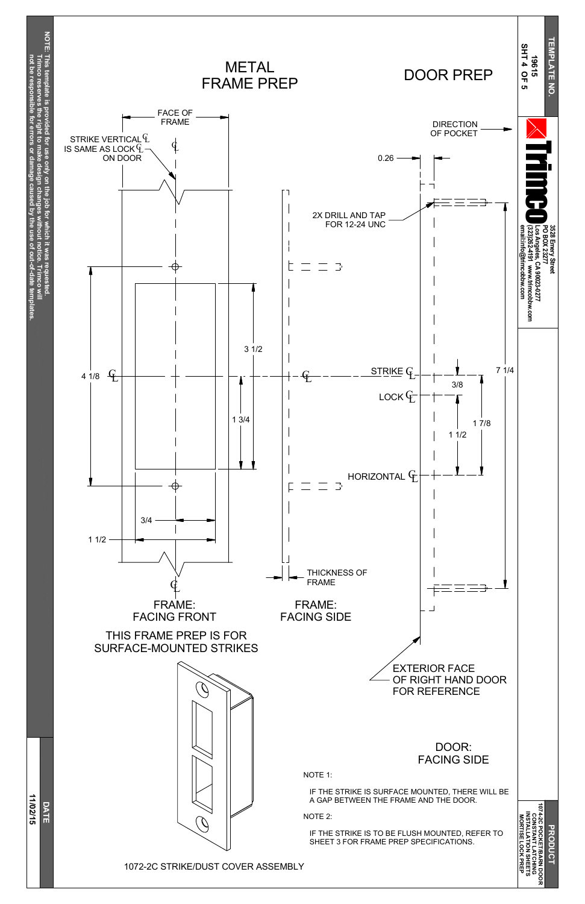

**c o** §<br>≡

**b**  $\checkmark$ **the use** <u>ዒ</u>

> **PO C KET/B A RN D O O R LATCHING SHEETS PREP**

**c o**

**reserves**

**the right**

**make**

**design**

**changes**

**without**

**notice.**

**not be resp**

**onsible**

**for**

**errors**

**or**

**damage**

**caused**

**out-of-date**

**tem**

**plates.**



1072-2C STRIKE/DUST COVER ASSEMBLY